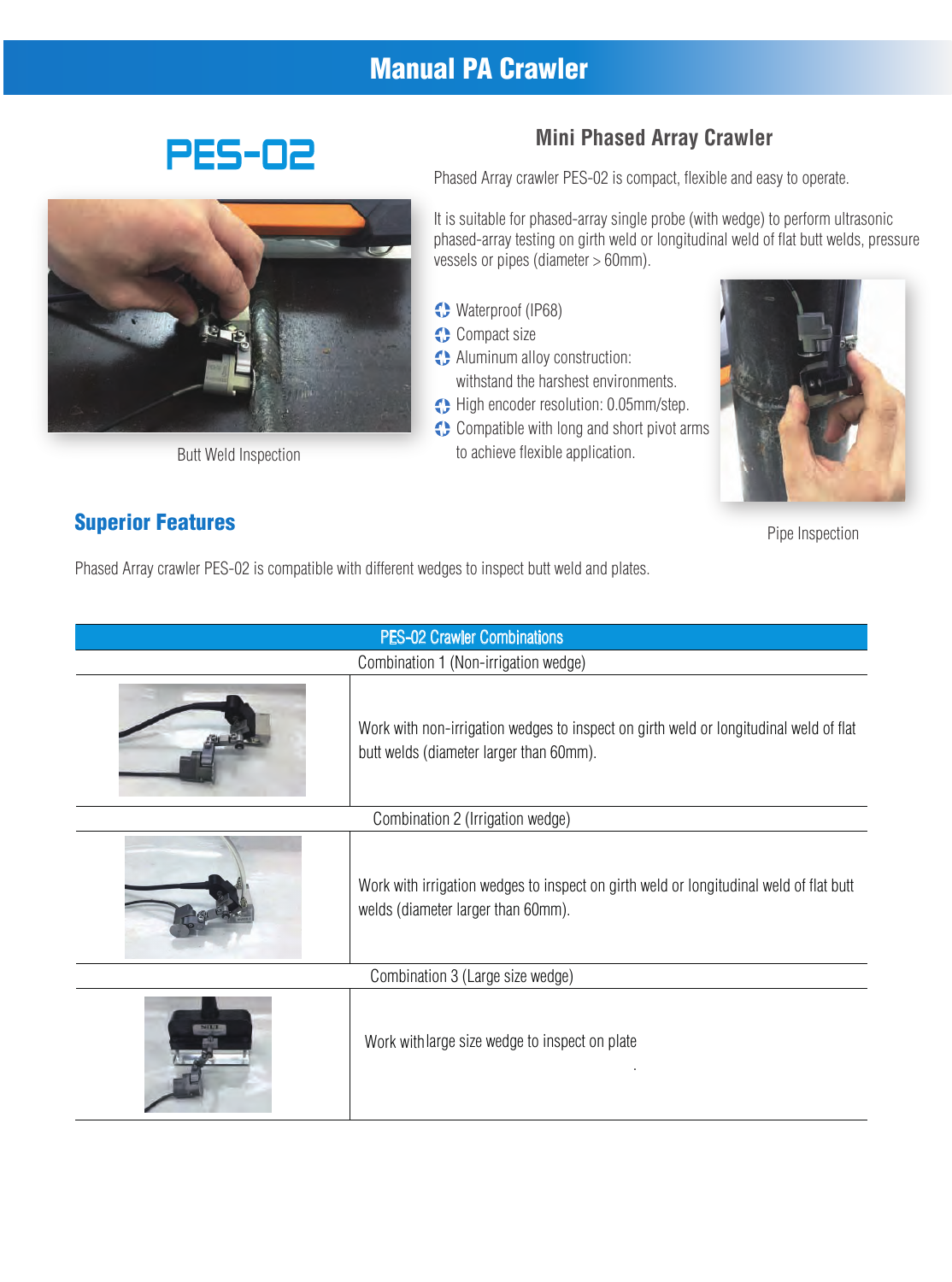# Manual PA Crawler





Butt Weld Inspection

#### Superior Features

#### **Mini Phased Array Crawler**

Phased Array crawler PES-02 is compact, flexible and easy to operate.

It is suitable for phased-array single probe (with wedge) to perform ultrasonic phased-array testing on girth weld or longitudinal weld of flat butt welds, pressure vessels or pipes (diameter > 60mm).

- Waterproof (IP68)
- **Compact size**
- Aluminum alloy construction: withstand the harshest environments.
- High encoder resolution: 0.05mm/step.
- Compatible with long and short pivot arms to achieve flexible application.



Pipe Inspection

Phased Array crawler PES-02 is compatible with different wedges to inspect butt weld and plates.

| <b>PES-02 Crawler Combinations</b>   |                                                                                                                                  |  |  |
|--------------------------------------|----------------------------------------------------------------------------------------------------------------------------------|--|--|
| Combination 1 (Non-irrigation wedge) |                                                                                                                                  |  |  |
|                                      | Work with non-irrigation wedges to inspect on girth weld or longitudinal weld of flat<br>butt welds (diameter larger than 60mm). |  |  |
| Combination 2 (Irrigation wedge)     |                                                                                                                                  |  |  |
|                                      | Work with irrigation wedges to inspect on girth weld or longitudinal weld of flat butt<br>welds (diameter larger than 60mm).     |  |  |
| Combination 3 (Large size wedge)     |                                                                                                                                  |  |  |
|                                      | Work with large size wedge to inspect on plate                                                                                   |  |  |